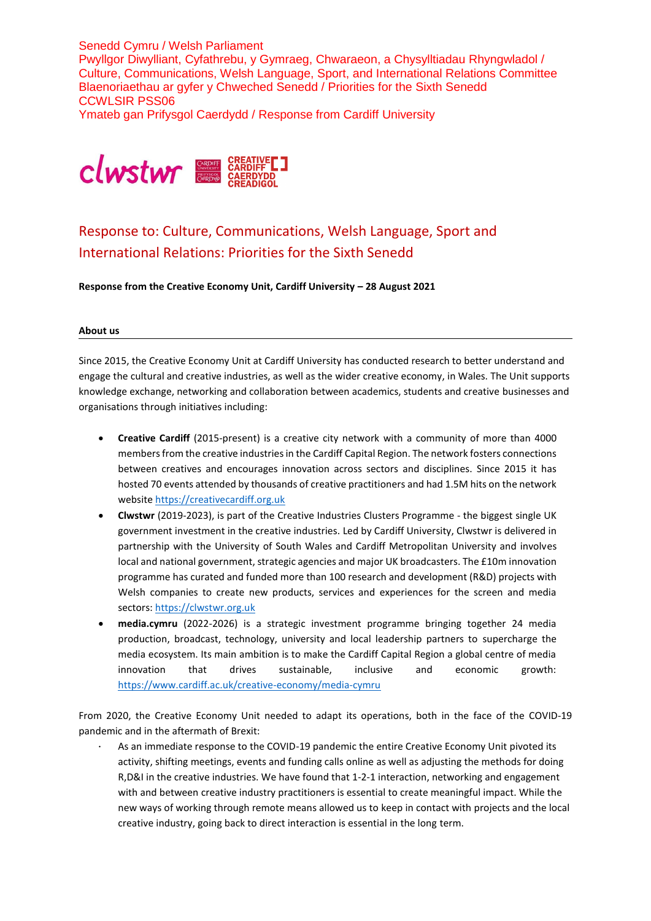Senedd Cymru / Welsh Parliament Pwyllgor Diwylliant, Cyfathrebu, y Gymraeg, Chwaraeon, a Chysylltiadau Rhyngwladol / Culture, Communications, Welsh Language, Sport, and International Relations Committee Blaenoriaethau ar gyfer y Chweched Senedd / Priorities for the Sixth Senedd CCWLSIR PSS06 Ymateb gan Prifysgol Caerdydd / Response from Cardiff University



# Response to: Culture, Communications, Welsh Language, Sport and International Relations: Priorities for the Sixth Senedd

**Response from the Creative Economy Unit, Cardiff University – 28 August 2021**

#### **About us**

Since 2015, the Creative Economy Unit at Cardiff University has conducted research to better understand and engage the cultural and creative industries, as well as the wider creative economy, in Wales. The Unit supports knowledge exchange, networking and collaboration between academics, students and creative businesses and organisations through initiatives including:

- **Creative Cardiff** (2015-present) is a creative city network with a community of more than 4000 members from the creative industries in the Cardiff Capital Region. The network fosters connections between creatives and encourages innovation across sectors and disciplines. Since 2015 it has hosted 70 events attended by thousands of creative practitioners and had 1.5M hits on the network website [https://creativecardiff.org.uk](https://creativecardiff.org.uk/)
- **Clwstwr** (2019-2023), is part of the Creative Industries Clusters Programme the biggest single UK government investment in the creative industries. Led by Cardiff University, Clwstwr is delivered in partnership with the University of South Wales and Cardiff Metropolitan University and involves local and national government, strategic agencies and major UK broadcasters. The £10m innovation programme has curated and funded more than 100 research and development (R&D) projects with Welsh companies to create new products, services and experiences for the screen and media sectors: [https://clwstwr.org.uk](https://clwstwr.org.uk/)
- **media.cymru** (2022-2026) is a strategic investment programme bringing together 24 media production, broadcast, technology, university and local leadership partners to supercharge the media ecosystem. Its main ambition is to make the Cardiff Capital Region a global centre of media innovation that drives sustainable, inclusive and economic growth: <https://www.cardiff.ac.uk/creative-economy/media-cymru>

From 2020, the Creative Economy Unit needed to adapt its operations, both in the face of the COVID-19 pandemic and in the aftermath of Brexit:

As an immediate response to the COVID-19 pandemic the entire Creative Economy Unit pivoted its activity, shifting meetings, events and funding calls online as well as adjusting the methods for doing R,D&I in the creative industries. We have found that 1-2-1 interaction, networking and engagement with and between creative industry practitioners is essential to create meaningful impact. While the new ways of working through remote means allowed us to keep in contact with projects and the local creative industry, going back to direct interaction is essential in the long term.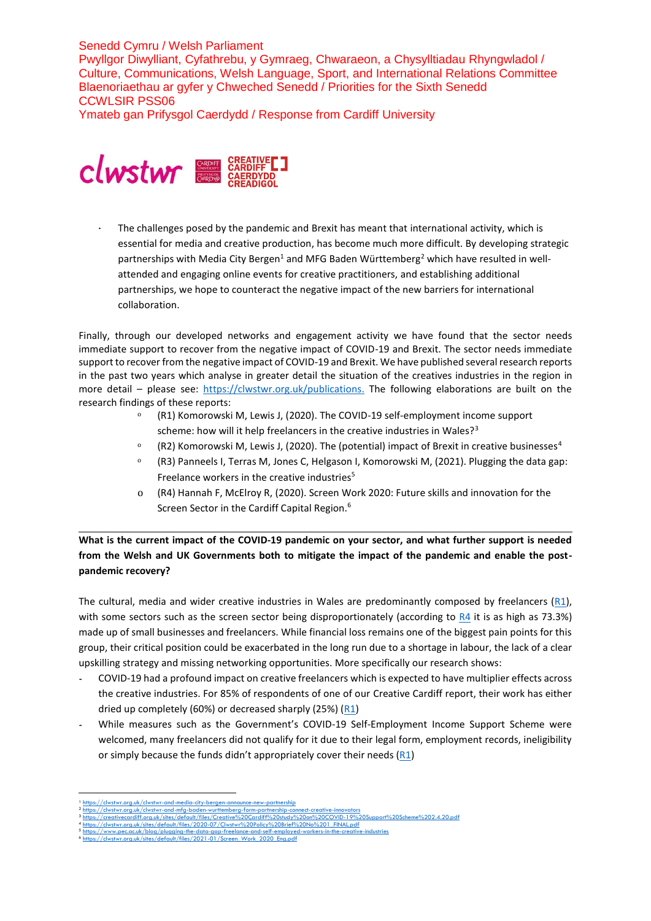Ymateb gan Prifysgol Caerdydd / Response from Cardiff University



· The challenges posed by the pandemic and Brexit has meant that international activity, which is essential for media and creative production, has become much more difficult. By developing strategic partnerships with Media City Bergen<sup>1</sup> and MFG Baden Württemberg<sup>2</sup> which have resulted in wellattended and engaging online events for creative practitioners, and establishing additional partnerships, we hope to counteract the negative impact of the new barriers for international collaboration.

Finally, through our developed networks and engagement activity we have found that the sector needs immediate support to recover from the negative impact of COVID-19 and Brexit. The sector needs immediate support to recover from the negative impact of COVID-19 and Brexit. We have published several research reports in the past two years which analyse in greater detail the situation of the creatives industries in the region in more detail – please see: [https://clwstwr.org.uk/publications.](https://clwstwr.org.uk/publications) The following elaborations are built on the research findings of these reports:

- <sup>o</sup> (R1) Komorowski M, Lewis J, (2020). The COVID-19 self-employment income support scheme: how will it help freelancers in the creative industries in Wales?<sup>3</sup>
- (R2) Komorowski M, Lewis J, (2020). The (potential) impact of Brexit in creative businesses<sup>4</sup>
- (R3) Panneels I, Terras M, Jones C, Helgason I, Komorowski M, (2021). Plugging the data gap: Freelance workers in the creative industries<sup>5</sup>
- o (R4) Hannah F, McElroy R, (2020). Screen Work 2020: Future skills and innovation for the Screen Sector in the Cardiff Capital Region.<sup>6</sup>

**What is the current impact of the COVID-19 pandemic on your sector, and what further support is needed from the Welsh and UK Governments both to mitigate the impact of the pandemic and enable the postpandemic recovery?**

The cultural, media and wider creative industries in Wales are predominantly composed by freelancers ( $R1$ ), with some sectors such as the screen sector being disproportionately (according to [R4](https://clwstwr.org.uk/sites/default/files/2021-01/Screen_Work_2020_Eng.pdf) it is as high as 73.3%) made up of small businesses and freelancers. While financial loss remains one of the biggest pain points for this group, their critical position could be exacerbated in the long run due to a shortage in labour, the lack of a clear upskilling strategy and missing networking opportunities. More specifically our research shows:

- *-* COVID-19 had a profound impact on creative freelancers which is expected to have multiplier effects across the creative industries. For 85% of respondents of one of our Creative Cardiff report, their work has either dried up completely (60%) or decreased sharply (25%) [\(R1\)](https://creativecardiff.org.uk/sites/default/files/Creative%20Cardiff%20study%20on%20COVID-19%20Support%20Scheme%202.4.20.pdf)
- While measures such as the Government's COVID-19 Self-Employment Income Support Scheme were welcomed, many freelancers did not qualify for it due to their legal form, employment records, ineligibility or simply because the funds didn't appropriately cover their needs  $(R1)$

-

<sup>1 &</sup>lt;u><https://clwstwr.org.uk/clwstwr-and-media-city-bergen-announce-new-partnership></u><br>2 https://clwstwr.org.uk/clwstwr-and-mfa-baden-wurttembera-form-partnership-co 2 ttps://clwstwr.org.uk/clwstwr-and-mfg-ba

<sup>3</sup> <https://creativecardiff.org.uk/sites/default/files/Creative%20Cardiff%20study%20on%20COVID-19%20Support%20Scheme%202.4.20.pdf>

<sup>4</sup> [https://clwstwr.org.uk/sites/default/files/2020-07/Clwstwr%20Policy%20Brief%20No%201\\_FINAL.pdf](https://clwstwr.org.uk/sites/default/files/2020-07/Clwstwr%20Policy%20Brief%20No%201_FINAL.pdf) mps://www.pec.ac.uk/blog/plugging-the-data-gap-freelance-and-self-employed-workers-industrial to-in-

 $\frac{6}{10}$  https://2021-01/Screen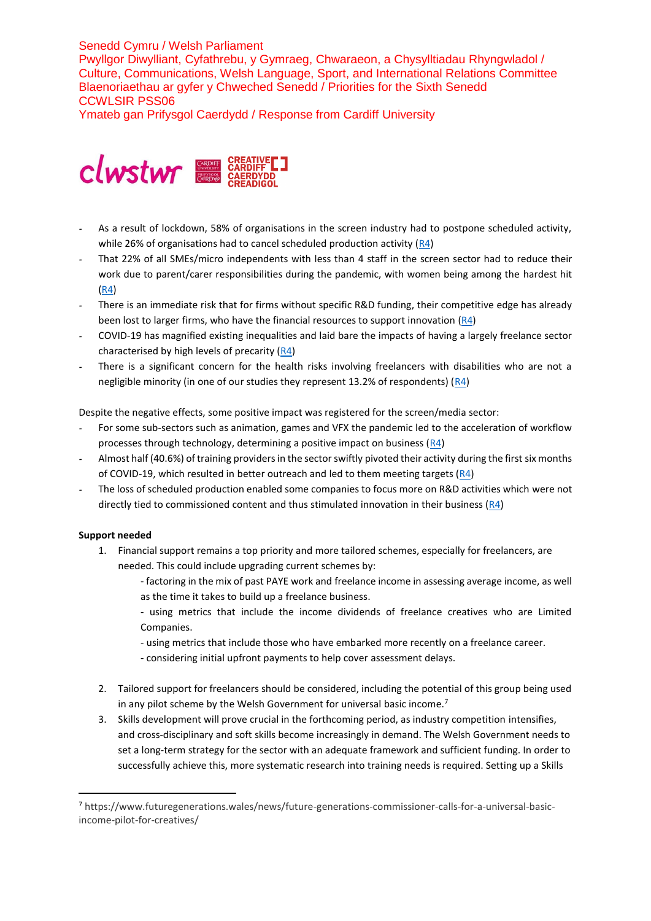Ymateb gan Prifysgol Caerdydd / Response from Cardiff University



- *-* As a result of lockdown, 58% of organisations in the screen industry had to postpone scheduled activity, while 26% of organisations had to cancel scheduled production activity  $(R4)$
- *-* That 22% of all SMEs/micro independents with less than 4 staff in the screen sector had to reduce their work due to parent/carer responsibilities during the pandemic, with women being among the hardest hit [\(R4\)](https://clwstwr.org.uk/sites/default/files/2021-01/Screen_Work_2020_Eng.pdf)
- *-* There is an immediate risk that for firms without specific R&D funding, their competitive edge has already been lost to larger firms, who have the financial resources to support innovation [\(R4\)](https://clwstwr.org.uk/sites/default/files/2021-01/Screen_Work_2020_Eng.pdf)
- *-* COVID-19 has magnified existing inequalities and laid bare the impacts of having a largely freelance sector characterised by high levels of precarity [\(R4\)](https://clwstwr.org.uk/sites/default/files/2021-01/Screen_Work_2020_Eng.pdf)
- *-* There is a significant concern for the health risks involving freelancers with disabilities who are not a negligible minority (in one of our studies they represent 13.2% of respondents)  $(R4)$

Despite the negative effects, some positive impact was registered for the screen/media sector:

- *-* For some sub-sectors such as animation, games and VFX the pandemic led to the acceleration of workflow processes through technology, determining a positive impact on business  $(R4)$
- *-* Almost half (40.6%) of training providers in the sector swiftly pivoted their activity during the first six months of COVID-19, which resulted in better outreach and led to them meeting targets [\(R4\)](https://clwstwr.org.uk/sites/default/files/2021-01/Screen_Work_2020_Eng.pdf)
- *-* The loss of scheduled production enabled some companies to focus more on R&D activities which were not directly tied to commissioned content and thus stimulated innovation in their business  $(R4)$

## **Support needed**

-

- 1. Financial support remains a top priority and more tailored schemes, especially for freelancers, are needed. This could include upgrading current schemes by:
	- factoring in the mix of past PAYE work and freelance income in assessing average income, as well as the time it takes to build up a freelance business.
	- using metrics that include the income dividends of freelance creatives who are Limited Companies.
	- using metrics that include those who have embarked more recently on a freelance career.
	- considering initial upfront payments to help cover assessment delays.
- 2. Tailored support for freelancers should be considered, including the potential of this group being used in any pilot scheme by the Welsh Government for universal basic income.<sup>7</sup>
- 3. Skills development will prove crucial in the forthcoming period, as industry competition intensifies, and cross-disciplinary and soft skills become increasingly in demand. The Welsh Government needs to set a long-term strategy for the sector with an adequate framework and sufficient funding. In order to successfully achieve this, more systematic research into training needs is required. Setting up a Skills

<sup>7</sup> https://www.futuregenerations.wales/news/future-generations-commissioner-calls-for-a-universal-basicincome-pilot-for-creatives/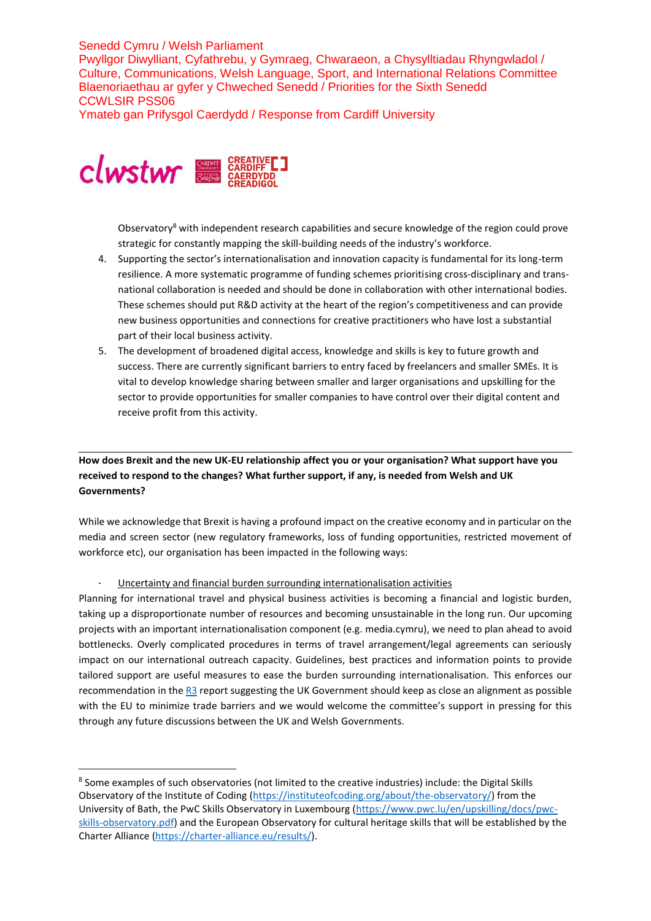Ymateb gan Prifysgol Caerdydd / Response from Cardiff University



-

Observatory<sup>8</sup> with independent research capabilities and secure knowledge of the region could prove strategic for constantly mapping the skill-building needs of the industry's workforce.

- 4. Supporting the sector's internationalisation and innovation capacity is fundamental for its long-term resilience. A more systematic programme of funding schemes prioritising cross-disciplinary and transnational collaboration is needed and should be done in collaboration with other international bodies. These schemes should put R&D activity at the heart of the region's competitiveness and can provide new business opportunities and connections for creative practitioners who have lost a substantial part of their local business activity.
- 5. The development of broadened digital access, knowledge and skills is key to future growth and success. There are currently significant barriers to entry faced by freelancers and smaller SMEs. It is vital to develop knowledge sharing between smaller and larger organisations and upskilling for the sector to provide opportunities for smaller companies to have control over their digital content and receive profit from this activity.

# **How does Brexit and the new UK-EU relationship affect you or your organisation? What support have you received to respond to the changes? What further support, if any, is needed from Welsh and UK Governments?**

While we acknowledge that Brexit is having a profound impact on the creative economy and in particular on the media and screen sector (new regulatory frameworks, loss of funding opportunities, restricted movement of workforce etc), our organisation has been impacted in the following ways:

· Uncertainty and financial burden surrounding internationalisation activities

Planning for international travel and physical business activities is becoming a financial and logistic burden, taking up a disproportionate number of resources and becoming unsustainable in the long run. Our upcoming projects with an important internationalisation component (e.g. media.cymru), we need to plan ahead to avoid bottlenecks. Overly complicated procedures in terms of travel arrangement/legal agreements can seriously impact on our international outreach capacity. Guidelines, best practices and information points to provide tailored support are useful measures to ease the burden surrounding internationalisation. This enforces our recommendation in the [R3](https://www.pec.ac.uk/blog/plugging-the-data-gap-freelance-and-self-employed-workers-in-the-creative-industries) report suggesting the UK Government should keep as close an alignment as possible with the EU to minimize trade barriers and we would welcome the committee's support in pressing for this through any future discussions between the UK and Welsh Governments.

<sup>&</sup>lt;sup>8</sup> Some examples of such observatories (not limited to the creative industries) include: the Digital Skills Observatory of the Institute of Coding [\(https://instituteofcoding.org/about/the-observatory/\)](https://instituteofcoding.org/about/the-observatory/) from the University of Bath, the PwC Skills Observatory in Luxembourg [\(https://www.pwc.lu/en/upskilling/docs/pwc](https://www.pwc.lu/en/upskilling/docs/pwc-skills-observatory.pdf)[skills-observatory.pdf\)](https://www.pwc.lu/en/upskilling/docs/pwc-skills-observatory.pdf) and the European Observatory for cultural heritage skills that will be established by the Charter Alliance [\(https://charter-alliance.eu/results/\)](https://charter-alliance.eu/results/).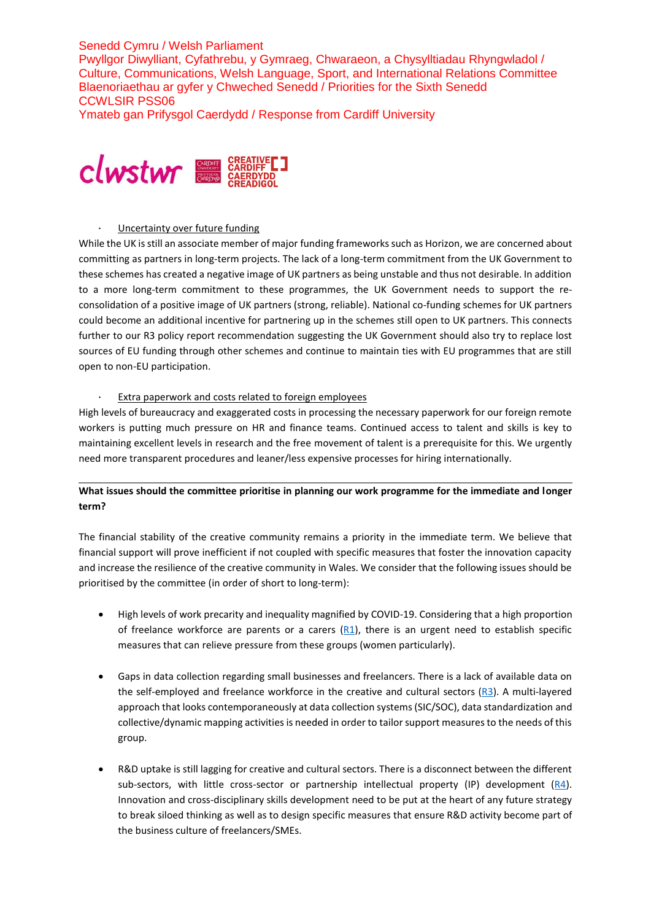Senedd Cymru / Welsh Parliament Pwyllgor Diwylliant, Cyfathrebu, y Gymraeg, Chwaraeon, a Chysylltiadau Rhyngwladol / Culture, Communications, Welsh Language, Sport, and International Relations Committee Blaenoriaethau ar gyfer y Chweched Senedd / Priorities for the Sixth Senedd CCWLSIR PSS06 Ymateb gan Prifysgol Caerdydd / Response from Cardiff University



#### Uncertainty over future funding

While the UK is still an associate member of major funding frameworks such as Horizon, we are concerned about committing as partners in long-term projects. The lack of a long-term commitment from the UK Government to these schemes has created a negative image of UK partners as being unstable and thus not desirable. In addition to a more long-term commitment to these programmes, the UK Government needs to support the reconsolidation of a positive image of UK partners (strong, reliable). National co-funding schemes for UK partners could become an additional incentive for partnering up in the schemes still open to UK partners. This connects further to our R3 policy report recommendation suggesting the UK Government should also try to replace lost sources of EU funding through other schemes and continue to maintain ties with EU programmes that are still open to non-EU participation.

### Extra paperwork and costs related to foreign employees

High levels of bureaucracy and exaggerated costs in processing the necessary paperwork for our foreign remote workers is putting much pressure on HR and finance teams. Continued access to talent and skills is key to maintaining excellent levels in research and the free movement of talent is a prerequisite for this. We urgently need more transparent procedures and leaner/less expensive processes for hiring internationally.

## **What issues should the committee prioritise in planning our work programme for the immediate and longer term?**

The financial stability of the creative community remains a priority in the immediate term. We believe that financial support will prove inefficient if not coupled with specific measures that foster the innovation capacity and increase the resilience of the creative community in Wales. We consider that the following issues should be prioritised by the committee (in order of short to long-term):

- High levels of work precarity and inequality magnified by COVID-19. Considering that a high proportion of freelance workforce are parents or a carers  $(R1)$ , there is an urgent need to establish specific measures that can relieve pressure from these groups (women particularly).
- Gaps in data collection regarding small businesses and freelancers. There is a lack of available data on the self-employed and freelance workforce in the creative and cultural sectors  $(R3)$ . A multi-layered approach that looks contemporaneously at data collection systems (SIC/SOC), data standardization and collective/dynamic mapping activities is needed in order to tailor support measures to the needs of this group.
- R&D uptake is still lagging for creative and cultural sectors. There is a disconnect between the different sub-sectors, with little cross-sector or partnership intellectual property (IP) development  $(R4)$ . Innovation and cross-disciplinary skills development need to be put at the heart of any future strategy to break siloed thinking as well as to design specific measures that ensure R&D activity become part of the business culture of freelancers/SMEs.